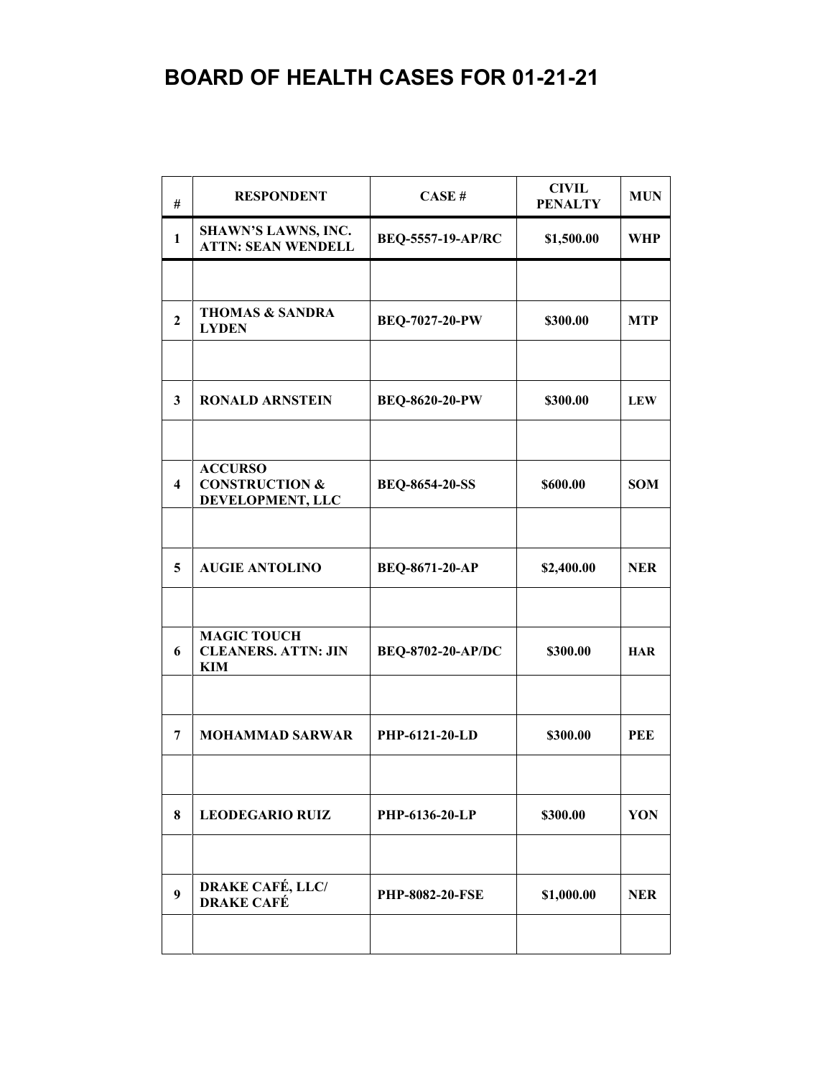## **BOARD OF HEALTH CASES FOR 01-21-21**

| #                       | <b>RESPONDENT</b>                                               | CASE#                    | <b>CIVIL</b><br><b>PENALTY</b> | <b>MUN</b> |
|-------------------------|-----------------------------------------------------------------|--------------------------|--------------------------------|------------|
| $\mathbf{1}$            | SHAWN'S LAWNS, INC.<br><b>ATTN: SEAN WENDELL</b>                | <b>BEQ-5557-19-AP/RC</b> | \$1,500.00                     | <b>WHP</b> |
|                         |                                                                 |                          |                                |            |
| $\overline{2}$          | <b>THOMAS &amp; SANDRA</b><br><b>LYDEN</b>                      | <b>BEQ-7027-20-PW</b>    | \$300.00                       | <b>MTP</b> |
|                         |                                                                 |                          |                                |            |
| 3                       | <b>RONALD ARNSTEIN</b>                                          | <b>BEQ-8620-20-PW</b>    | \$300.00                       | <b>LEW</b> |
|                         |                                                                 |                          |                                |            |
| $\overline{\mathbf{4}}$ | <b>ACCURSO</b><br><b>CONSTRUCTION &amp;</b><br>DEVELOPMENT, LLC | <b>BEQ-8654-20-SS</b>    | \$600.00                       | <b>SOM</b> |
|                         |                                                                 |                          |                                |            |
| 5                       | <b>AUGIE ANTOLINO</b>                                           | <b>BEQ-8671-20-AP</b>    | \$2,400.00                     | <b>NER</b> |
|                         |                                                                 |                          |                                |            |
| 6                       | <b>MAGIC TOUCH</b><br><b>CLEANERS. ATTN: JIN</b><br>KIM         | <b>BEQ-8702-20-AP/DC</b> | \$300.00                       | <b>HAR</b> |
|                         |                                                                 |                          |                                |            |
| 7                       | <b>MOHAMMAD SARWAR</b>                                          | PHP-6121-20-LD           | \$300.00                       | <b>PEE</b> |
|                         |                                                                 |                          |                                |            |
| 8                       | <b>LEODEGARIO RUIZ</b>                                          | PHP-6136-20-LP           | \$300.00                       | YON        |
|                         |                                                                 |                          |                                |            |
| 9                       | <b>DRAKE CAFÉ, LLC/</b><br><b>DRAKE CAFÉ</b>                    | <b>PHP-8082-20-FSE</b>   | \$1,000.00                     | <b>NER</b> |
|                         |                                                                 |                          |                                |            |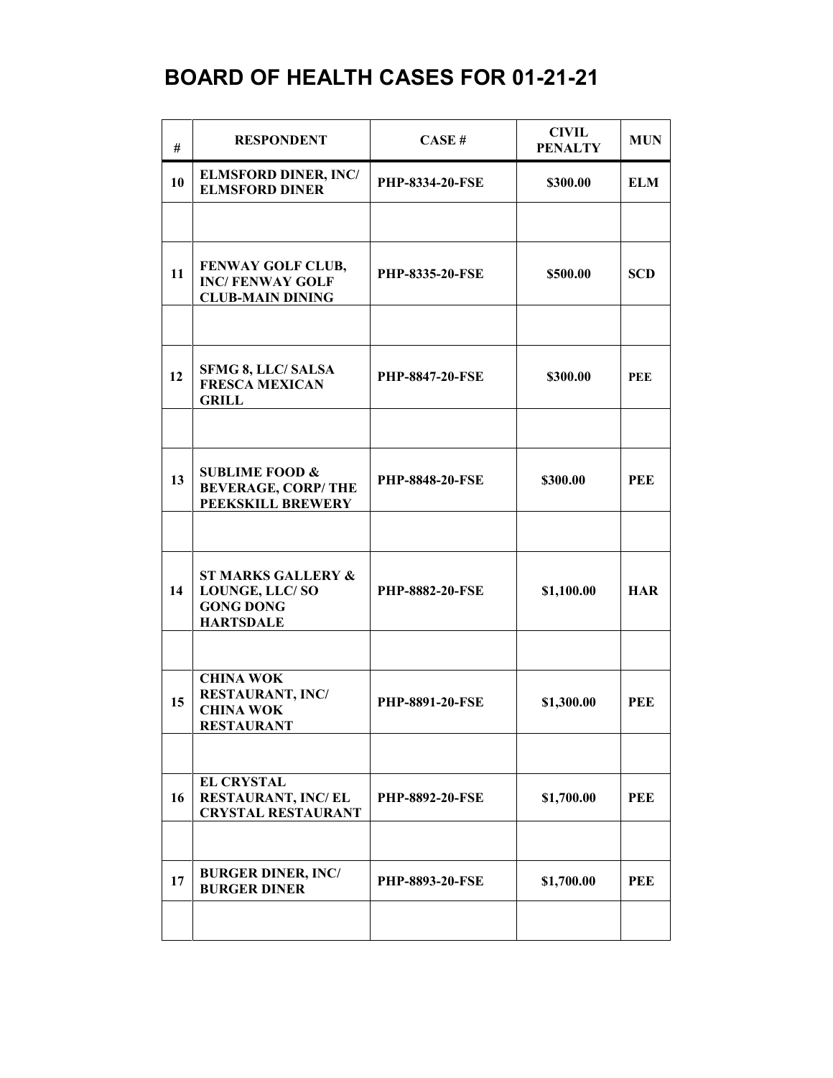## **BOARD OF HEALTH CASES FOR 01-21-21**

| #  | <b>RESPONDENT</b>                                                                       | CASE#                  | <b>CIVIL</b><br><b>PENALTY</b> | <b>MUN</b> |
|----|-----------------------------------------------------------------------------------------|------------------------|--------------------------------|------------|
| 10 | <b>ELMSFORD DINER, INC/</b><br><b>ELMSFORD DINER</b>                                    | <b>PHP-8334-20-FSE</b> | \$300.00                       | <b>ELM</b> |
|    |                                                                                         |                        |                                |            |
| 11 | FENWAY GOLF CLUB,<br><b>INC/FENWAY GOLF</b><br><b>CLUB-MAIN DINING</b>                  | <b>PHP-8335-20-FSE</b> | \$500.00                       | <b>SCD</b> |
|    |                                                                                         |                        |                                |            |
| 12 | <b>SFMG 8, LLC/ SALSA</b><br><b>FRESCA MEXICAN</b><br><b>GRILL</b>                      | <b>PHP-8847-20-FSE</b> | \$300.00                       | PEE        |
|    |                                                                                         |                        |                                |            |
| 13 | <b>SUBLIME FOOD &amp;</b><br><b>BEVERAGE, CORP/THE</b><br>PEEKSKILL BREWERY             | <b>PHP-8848-20-FSE</b> | \$300.00                       | <b>PEE</b> |
|    |                                                                                         |                        |                                |            |
| 14 | <b>ST MARKS GALLERY &amp;</b><br>LOUNGE, LLC/SO<br><b>GONG DONG</b><br><b>HARTSDALE</b> | <b>PHP-8882-20-FSE</b> | \$1,100.00                     | <b>HAR</b> |
|    |                                                                                         |                        |                                |            |
| 15 | <b>CHINA WOK</b><br><b>RESTAURANT, INC/</b><br><b>CHINA WOK</b><br><b>RESTAURANT</b>    | <b>PHP-8891-20-FSE</b> | \$1,300.00                     | <b>PEE</b> |
|    |                                                                                         |                        |                                |            |
| 16 | <b>EL CRYSTAL</b><br>RESTAURANT, INC/EL<br><b>CRYSTAL RESTAURANT</b>                    | <b>PHP-8892-20-FSE</b> | \$1,700.00                     | PEE        |
|    |                                                                                         |                        |                                |            |
| 17 | <b>BURGER DINER, INC/</b><br><b>BURGER DINER</b>                                        | PHP-8893-20-FSE        | \$1,700.00                     | <b>PEE</b> |
|    |                                                                                         |                        |                                |            |